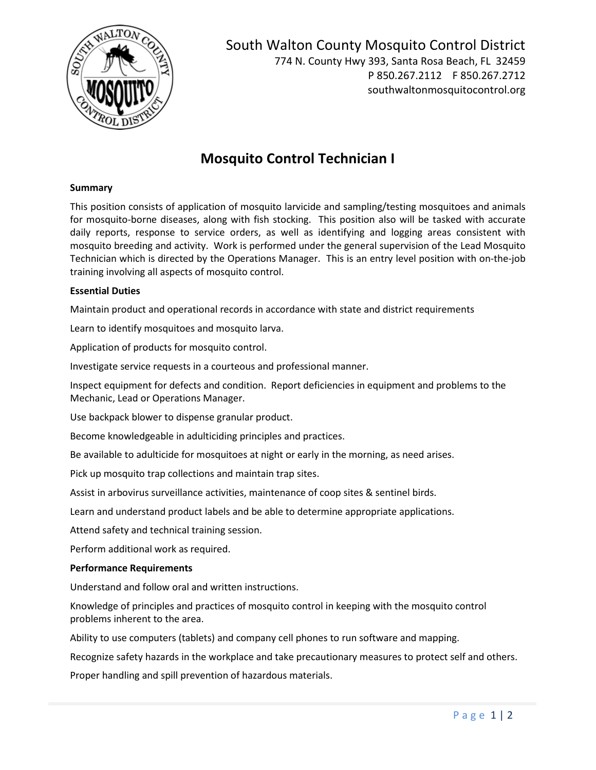

South Walton County Mosquito Control District 774 N. County Hwy 393, Santa Rosa Beach, FL 32459 P 850.267.2112 F 850.267.2712 southwaltonmosquitocontrol.org

# **Mosquito Control Technician I**

### **Summary**

This position consists of application of mosquito larvicide and sampling/testing mosquitoes and animals for mosquito-borne diseases, along with fish stocking. This position also will be tasked with accurate daily reports, response to service orders, as well as identifying and logging areas consistent with mosquito breeding and activity. Work is performed under the general supervision of the Lead Mosquito Technician which is directed by the Operations Manager. This is an entry level position with on-the-job training involving all aspects of mosquito control.

#### **Essential Duties**

Maintain product and operational records in accordance with state and district requirements

Learn to identify mosquitoes and mosquito larva.

Application of products for mosquito control.

Investigate service requests in a courteous and professional manner.

Inspect equipment for defects and condition. Report deficiencies in equipment and problems to the Mechanic, Lead or Operations Manager.

Use backpack blower to dispense granular product.

Become knowledgeable in adulticiding principles and practices.

Be available to adulticide for mosquitoes at night or early in the morning, as need arises.

Pick up mosquito trap collections and maintain trap sites.

Assist in arbovirus surveillance activities, maintenance of coop sites & sentinel birds.

Learn and understand product labels and be able to determine appropriate applications.

Attend safety and technical training session.

Perform additional work as required.

#### **Performance Requirements**

Understand and follow oral and written instructions.

Knowledge of principles and practices of mosquito control in keeping with the mosquito control problems inherent to the area.

Ability to use computers (tablets) and company cell phones to run software and mapping.

Recognize safety hazards in the workplace and take precautionary measures to protect self and others.

Proper handling and spill prevention of hazardous materials.